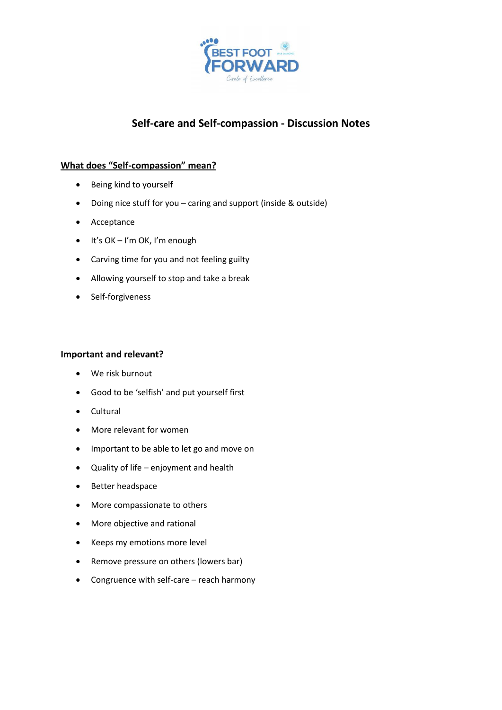

# **Self-care and Self-compassion - Discussion Notes**

# **What does "Self-compassion" mean?**

- Being kind to yourself
- Doing nice stuff for you caring and support (inside & outside)
- Acceptance
- It's OK I'm OK, I'm enough
- Carving time for you and not feeling guilty
- Allowing yourself to stop and take a break
- Self-forgiveness

## **Important and relevant?**

- We risk burnout
- Good to be 'selfish' and put yourself first
- Cultural
- More relevant for women
- Important to be able to let go and move on
- Quality of life enjoyment and health
- Better headspace
- More compassionate to others
- More objective and rational
- Keeps my emotions more level
- Remove pressure on others (lowers bar)
- Congruence with self-care reach harmony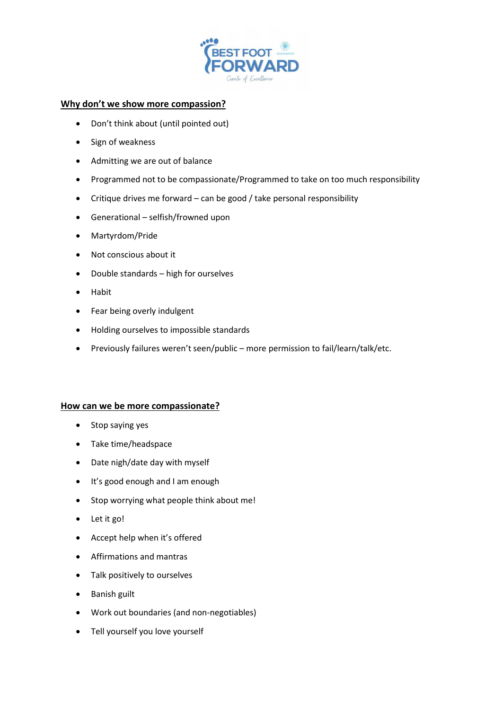

#### **Why don't we show more compassion?**

- Don't think about (until pointed out)
- Sign of weakness
- Admitting we are out of balance
- Programmed not to be compassionate/Programmed to take on too much responsibility
- Critique drives me forward can be good / take personal responsibility
- Generational selfish/frowned upon
- Martyrdom/Pride
- Not conscious about it
- Double standards high for ourselves
- Habit
- Fear being overly indulgent
- Holding ourselves to impossible standards
- Previously failures weren't seen/public more permission to fail/learn/talk/etc.

#### **How can we be more compassionate?**

- Stop saying yes
- Take time/headspace
- Date nigh/date day with myself
- It's good enough and I am enough
- Stop worrying what people think about me!
- Let it go!
- Accept help when it's offered
- Affirmations and mantras
- Talk positively to ourselves
- Banish guilt
- Work out boundaries (and non-negotiables)
- Tell yourself you love yourself